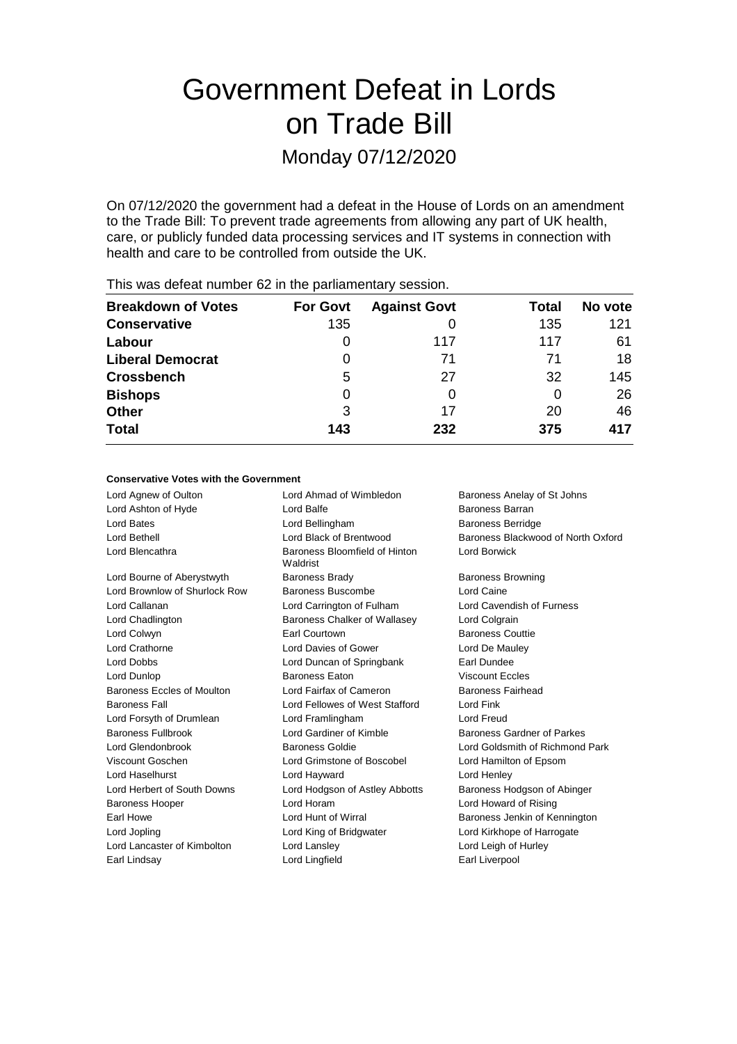# Government Defeat in Lords on Trade Bill

Monday 07/12/2020

On 07/12/2020 the government had a defeat in the House of Lords on an amendment to the Trade Bill: To prevent trade agreements from allowing any part of UK health, care, or publicly funded data processing services and IT systems in connection with health and care to be controlled from outside the UK.

| <b>Breakdown of Votes</b> | <b>For Govt</b> | <b>Against Govt</b> | Total | No vote |
|---------------------------|-----------------|---------------------|-------|---------|
| <b>Conservative</b>       | 135             |                     | 135   | 121     |
| Labour                    | $\Omega$        | 117                 | 117   | 61      |
| <b>Liberal Democrat</b>   | O               | 71                  | 71    | 18      |
| <b>Crossbench</b>         | 5               | 27                  | 32    | 145     |
| <b>Bishops</b>            | 0               |                     | 0     | 26      |
| <b>Other</b>              | 3               | 17                  | 20    | 46      |
| <b>Total</b>              | 143             | 232                 | 375   | 417     |
|                           |                 |                     |       |         |

This was defeat number 62 in the parliamentary session.

## **Conservative Votes with the Government**

| Lord Agnew of Oulton          | Lord Ahmad of Wimbledon                   | Baroness Anelay of St Johns        |
|-------------------------------|-------------------------------------------|------------------------------------|
| Lord Ashton of Hyde           | Lord Balfe                                | <b>Baroness Barran</b>             |
| Lord Bates                    | Lord Bellingham                           | <b>Baroness Berridge</b>           |
| Lord Bethell                  | Lord Black of Brentwood                   | Baroness Blackwood of North Oxford |
| Lord Blencathra               | Baroness Bloomfield of Hinton<br>Waldrist | Lord Borwick                       |
| Lord Bourne of Aberystwyth    | <b>Baroness Brady</b>                     | <b>Baroness Browning</b>           |
| Lord Brownlow of Shurlock Row | Baroness Buscombe                         | Lord Caine                         |
| Lord Callanan                 | Lord Carrington of Fulham                 | Lord Cavendish of Furness          |
| Lord Chadlington              | Baroness Chalker of Wallasey              | Lord Colgrain                      |
| Lord Colwyn                   | Earl Courtown                             | <b>Baroness Couttie</b>            |
| Lord Crathorne                | Lord Davies of Gower                      | Lord De Mauley                     |
| <b>Lord Dobbs</b>             | Lord Duncan of Springbank                 | <b>Earl Dundee</b>                 |
| Lord Dunlop                   | <b>Baroness Eaton</b>                     | <b>Viscount Eccles</b>             |
| Baroness Eccles of Moulton    | Lord Fairfax of Cameron                   | Baroness Fairhead                  |
| <b>Baroness Fall</b>          | Lord Fellowes of West Stafford            | Lord Fink                          |
| Lord Forsyth of Drumlean      | Lord Framlingham                          | Lord Freud                         |
| <b>Baroness Fullbrook</b>     | Lord Gardiner of Kimble                   | Baroness Gardner of Parkes         |
| Lord Glendonbrook             | Baroness Goldie                           | Lord Goldsmith of Richmond Park    |
| Viscount Goschen              | Lord Grimstone of Boscobel                | Lord Hamilton of Epsom             |
| Lord Haselhurst               | Lord Hayward                              | Lord Henley                        |
| Lord Herbert of South Downs   | Lord Hodgson of Astley Abbotts            | Baroness Hodgson of Abinger        |
| <b>Baroness Hooper</b>        | Lord Horam                                | Lord Howard of Rising              |
| Earl Howe                     | Lord Hunt of Wirral                       | Baroness Jenkin of Kennington      |
| Lord Jopling                  | Lord King of Bridgwater                   | Lord Kirkhope of Harrogate         |
| Lord Lancaster of Kimbolton   | Lord Lansley                              | Lord Leigh of Hurley               |
| Earl Lindsay                  | Lord Lingfield                            | Earl Liverpool                     |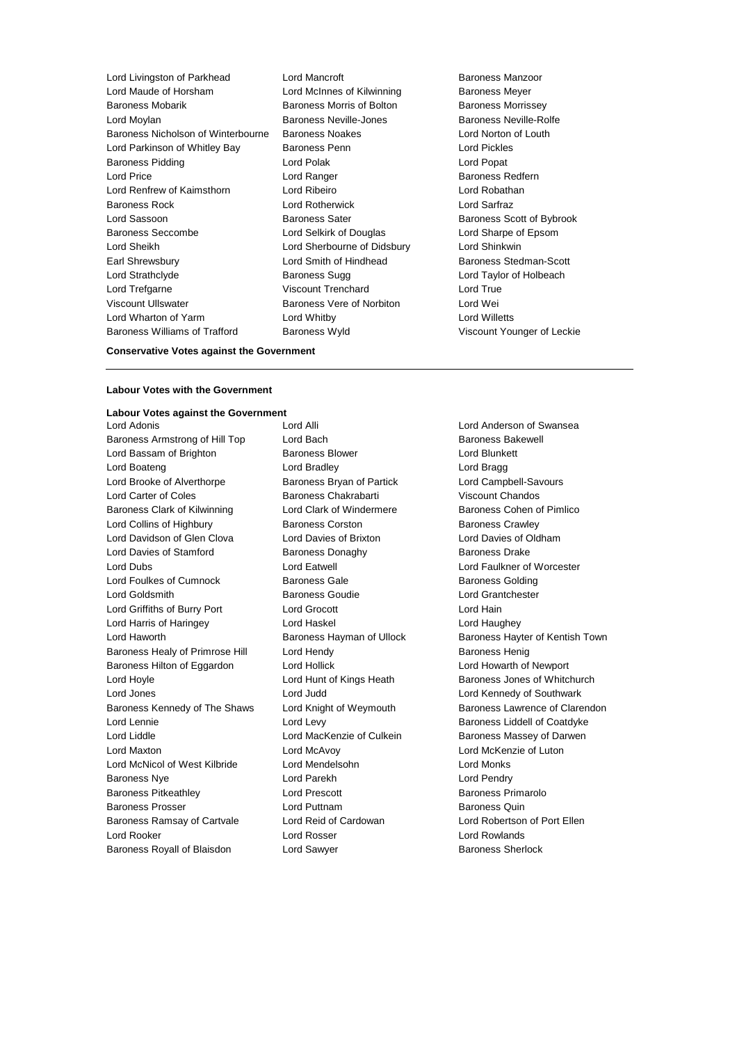- Lord Livingston of Parkhead Lord Mancroft Baroness Manzoor Baroness Mobarik Baroness Morris of Bolton Baroness Morrissey Lord Moylan Baroness Neville-Jones Baroness Neville-Rolfe Baroness Nicholson of Winterbourne Baroness Noakes Lord Norton of Louth Lord Parkinson of Whitley Bay Baroness Penn Lord Pickles Baroness Pidding **Communist Construction** Lord Polak **Lord Popat** Lord Popat Lord Price **Lord Ranger Constanting Lord Ranger Baroness Redfern** Lord Renfrew of Kaimsthorn Lord Ribeiro Lord Robathan Baroness Rock Lord Rotherwick Lord Sarfraz Lord Sassoon **Baroness Sater** Baroness Scott of Bybrook Baroness Seccombe Lord Selkirk of Douglas Lord Sharpe of Epsom Lord Sheikh Lord Sherbourne of Didsbury Lord Shinkwin Earl Shrewsbury **Lord Smith of Hindhead** Baroness Stedman-Scott Lord Strathclyde **Baroness Sugg Lord Taylor of Holbeach** Baroness Sugg Lord Taylor of Holbeach Lord Trefgarne Viscount Trenchard Lord True Viscount Ullswater Baroness Vere of Norbiton Lord Wei Lord Wharton of Yarm Lord Whitby Lord Willetts Baroness Williams of Trafford Baroness Wyld Viscount Younger of Leckie
	- Lord McInnes of Kilwinning **Baroness Meyer** 
		-

# **Conservative Votes against the Government**

#### **Labour Votes with the Government**

#### **Labour Votes against the Government**

Baroness Armstrong of Hill Top Lord Bach Baroness Bakewell Lord Bassam of Brighton **Baroness Blower Baroness Blower** Lord Blunkett Lord Boateng **Lord Bradley Lord Bradley Lord Bragg** Lord Brooke of Alverthorpe **Baroness Bryan of Partick** Lord Campbell-Savours Lord Carter of Coles Baroness Chakrabarti Viscount Chandos Baroness Clark of Kilwinning Lord Clark of Windermere Baroness Cohen of Pimlico Lord Collins of Highbury **Baroness Corston** Baroness Corston **Baroness** Crawley Lord Davidson of Glen Clova Lord Davies of Brixton Lord Davies of Oldham Lord Davies of Stamford Baroness Donaghy Baroness Drake Lord Dubs Lord Eatwell Lord Faulkner of Worcester Lord Foulkes of Cumnock **Baroness Gale** Baroness Gale Baroness Golding Lord Goldsmith Baroness Goudie Lord Grantchester Lord Griffiths of Burry Port Lord Grocott Lord Hain Lord Harris of Haringey Lord Haskel Lord Haughey Lord Haworth Baroness Hayman of Ullock Baroness Hayter of Kentish Town Baroness Healy of Primrose Hill Lord Hendy **Baroness Henig** Baroness Henig Baroness Hilton of Eggardon Lord Hollick Lord Hollick Lord Howarth of Newport Lord Hoyle **Lord Hunt of Kings Heath** Baroness Jones of Whitchurch Lord Jones Lord Judd Lord Kennedy of Southwark Baroness Kennedy of The Shaws Lord Knight of Weymouth Baroness Lawrence of Clarendon Lord Lennie **Lord Levy** Lord Levy **Baroness Liddell of Coatdyke** Lord Liddle **Lord MacKenzie of Culkein** Baroness Massey of Darwen Lord Maxton Lord McAvoy Lord McKenzie of Luton Lord McNicol of West Kilbride Lord Mendelsohn Lord Monks Baroness Nye **Lord Parekh** Lord Parekh Lord Pendry Baroness Pitkeathley Lord Prescott Baroness Primarolo Baroness Prosser **Example 2** Lord Puttnam **Baroness Quin** Baroness Quin Baroness Ramsay of Cartvale Lord Reid of Cardowan Lord Robertson of Port Ellen Lord Rooker Lord Rosser Lord Rowlands

Baroness Royall of Blaisdon Lord Sawyer **Baroness Sherlock** Baroness Sherlock

Lord Adonis Lord Alli Lord Anderson of Swansea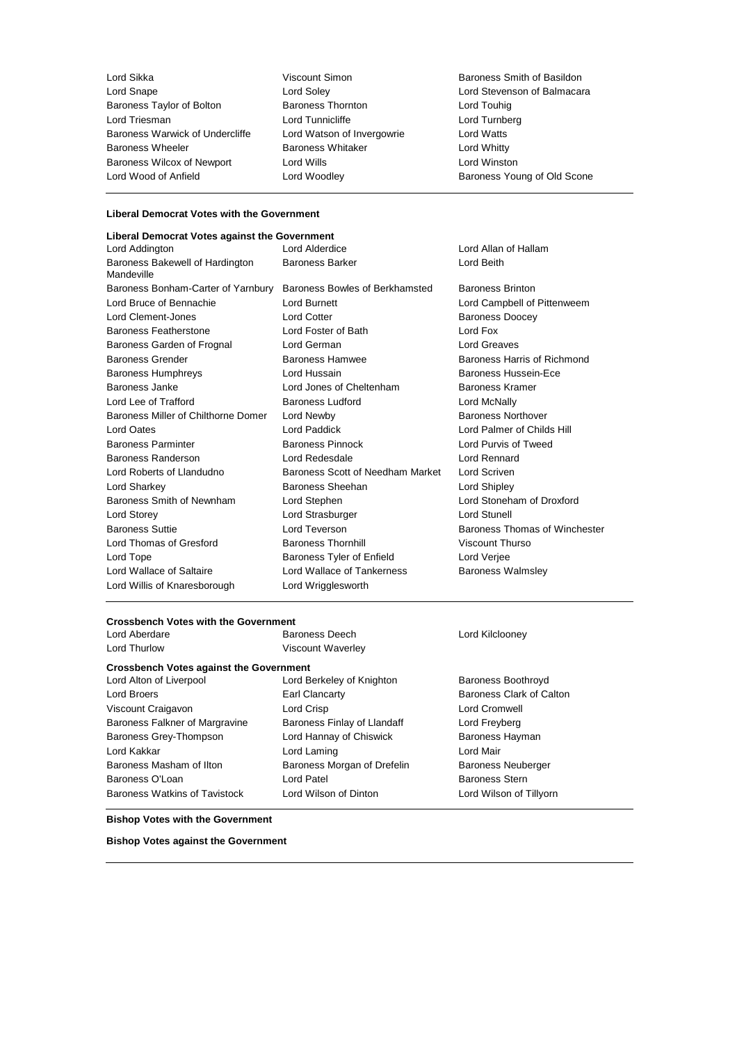Lord Sikka Viscount Simon Baroness Smith of Basildon Baroness Taylor of Bolton Lord Triesman **Lord Tunnicliffe** Lord Tunnicliffe Lord Turnberg<br>Baroness Warwick of Undercliffe Lord Watson of Invergowrie Lord Watts Baroness Warwick of Undercliffe Lord Watson of Invergowrie Lord Watts Baroness Wheeler **Baroness Whitaker Baroness Whitaker** Lord Whitty Baroness Wilcox of Newport Lord Wills Lord Winston

Lord Soley **Lord Stevenson of Balmacara**<br>
Baroness Thornton **Lord Touhig** Lord Touhig Lord Woodley **Analysis Community** Baroness Young of Old Scone

## **Liberal Democrat Votes with the Government**

| Liberal Democrat Votes against the Government |                                  |                               |  |
|-----------------------------------------------|----------------------------------|-------------------------------|--|
| Lord Addington                                | Lord Alderdice                   | Lord Allan of Hallam          |  |
| Baroness Bakewell of Hardington<br>Mandeville | <b>Baroness Barker</b>           | Lord Beith                    |  |
| Baroness Bonham-Carter of Yarnbury            | Baroness Bowles of Berkhamsted   | <b>Baroness Brinton</b>       |  |
| Lord Bruce of Bennachie                       | Lord Burnett                     | Lord Campbell of Pittenweem   |  |
| Lord Clement-Jones                            | <b>Lord Cotter</b>               | <b>Baroness Doocey</b>        |  |
| <b>Baroness Featherstone</b>                  | Lord Foster of Bath              | Lord Fox                      |  |
| Baroness Garden of Frognal                    | Lord German                      | <b>Lord Greaves</b>           |  |
| <b>Baroness Grender</b>                       | Baroness Hamwee                  | Baroness Harris of Richmond   |  |
| <b>Baroness Humphreys</b>                     | Lord Hussain                     | Baroness Hussein-Ece          |  |
| Baroness Janke                                | Lord Jones of Cheltenham         | Baroness Kramer               |  |
| Lord Lee of Trafford                          | <b>Baroness Ludford</b>          | Lord McNally                  |  |
| Baroness Miller of Chilthorne Domer           | Lord Newby                       | <b>Baroness Northover</b>     |  |
| Lord Oates                                    | Lord Paddick                     | Lord Palmer of Childs Hill    |  |
| <b>Baroness Parminter</b>                     | <b>Baroness Pinnock</b>          | Lord Purvis of Tweed          |  |
| Baroness Randerson                            | Lord Redesdale                   | Lord Rennard                  |  |
| Lord Roberts of Llandudno                     | Baroness Scott of Needham Market | Lord Scriven                  |  |
| Lord Sharkey                                  | Baroness Sheehan                 | Lord Shipley                  |  |
| Baroness Smith of Newnham                     | Lord Stephen                     | Lord Stoneham of Droxford     |  |
| Lord Storey                                   | Lord Strasburger                 | <b>Lord Stunell</b>           |  |
| <b>Baroness Suttie</b>                        | Lord Teverson                    | Baroness Thomas of Winchester |  |
| Lord Thomas of Gresford                       | <b>Baroness Thornhill</b>        | Viscount Thurso               |  |
| Lord Tope                                     | Baroness Tyler of Enfield        | Lord Verjee                   |  |
| Lord Wallace of Saltaire                      | Lord Wallace of Tankerness       | <b>Baroness Walmsley</b>      |  |
| Lord Willis of Knaresborough                  | Lord Wrigglesworth               |                               |  |
|                                               |                                  |                               |  |

# **Crossbench Votes with the Government**<br>Lord Aberdare **Baroness** Deech

**Crossbench Votes against the Government**

Lord Broers **Earl Clancarty** Earl Clancarty **Baroness Clark of Calton** Viscount Craigavon Lord Crisp Lord Cromwell Baroness Falkner of Margravine Baroness Finlay of Llandaff Cord Freyberg Baroness Grey-Thompson **Lord Hannay of Chiswick** Baroness Hayman Lord Kakkar **Lord Laming** Lord Laming Lord Mair Baroness Masham of Ilton **Baroness Morgan of Drefelin** Baroness Neuberger Baroness O'Loan **Lord Patel** Lord Patel **Baroness Stern** 

Lord Thurlow Viscount Waverley

Lord Alton of Liverpool **Lord Berkeley of Knighton** Baroness Boothroyd

Lord Kilclooney

Baroness Watkins of Tavistock Lord Wilson of Dinton Lord Wilson of Tillyorn

**Bishop Votes with the Government**

**Bishop Votes against the Government**